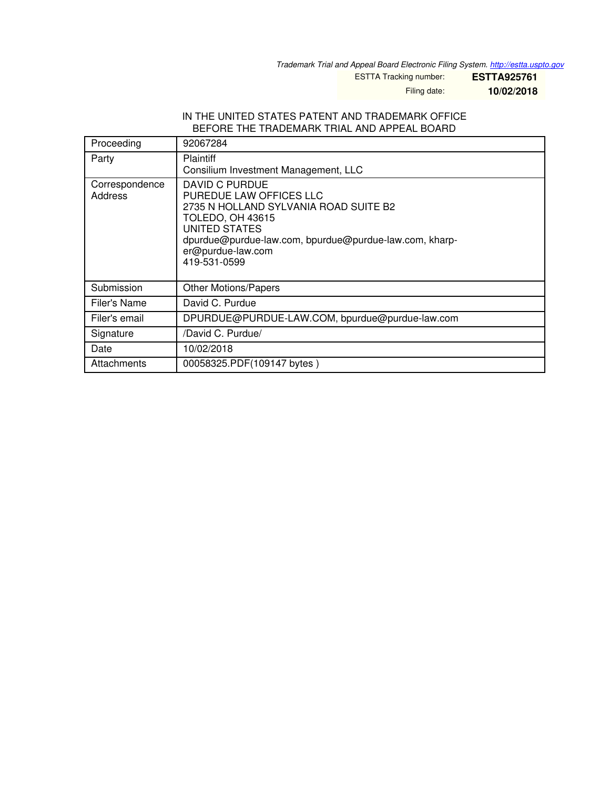*Trademark Trial and Appeal Board Electronic Filing System. <http://estta.uspto.gov>*

ESTTA Tracking number: **ESTTA925761**

Filing date: **10/02/2018**

## IN THE UNITED STATES PATENT AND TRADEMARK OFFICE BEFORE THE TRADEMARK TRIAL AND APPEAL BOARD

| Proceeding                | 92067284                                                                                                                                                                                                                             |  |
|---------------------------|--------------------------------------------------------------------------------------------------------------------------------------------------------------------------------------------------------------------------------------|--|
| Party                     | <b>Plaintiff</b><br>Consilium Investment Management, LLC                                                                                                                                                                             |  |
| Correspondence<br>Address | DAVID C PURDUE<br>PUREDUE LAW OFFICES LLC<br>2735 N HOLLAND SYLVANIA ROAD SUITE B2<br><b>TOLEDO, OH 43615</b><br><b>UNITED STATES</b><br>dpurdue@purdue-law.com, bpurdue@purdue-law.com, kharp-<br>er@purdue-law.com<br>419-531-0599 |  |
| Submission                | <b>Other Motions/Papers</b>                                                                                                                                                                                                          |  |
| Filer's Name              | David C. Purdue                                                                                                                                                                                                                      |  |
| Filer's email             | DPURDUE@PURDUE-LAW.COM, bpurdue@purdue-law.com                                                                                                                                                                                       |  |
| Signature                 | /David C. Purdue/                                                                                                                                                                                                                    |  |
| Date                      | 10/02/2018                                                                                                                                                                                                                           |  |
| Attachments               | 00058325.PDF(109147 bytes)                                                                                                                                                                                                           |  |